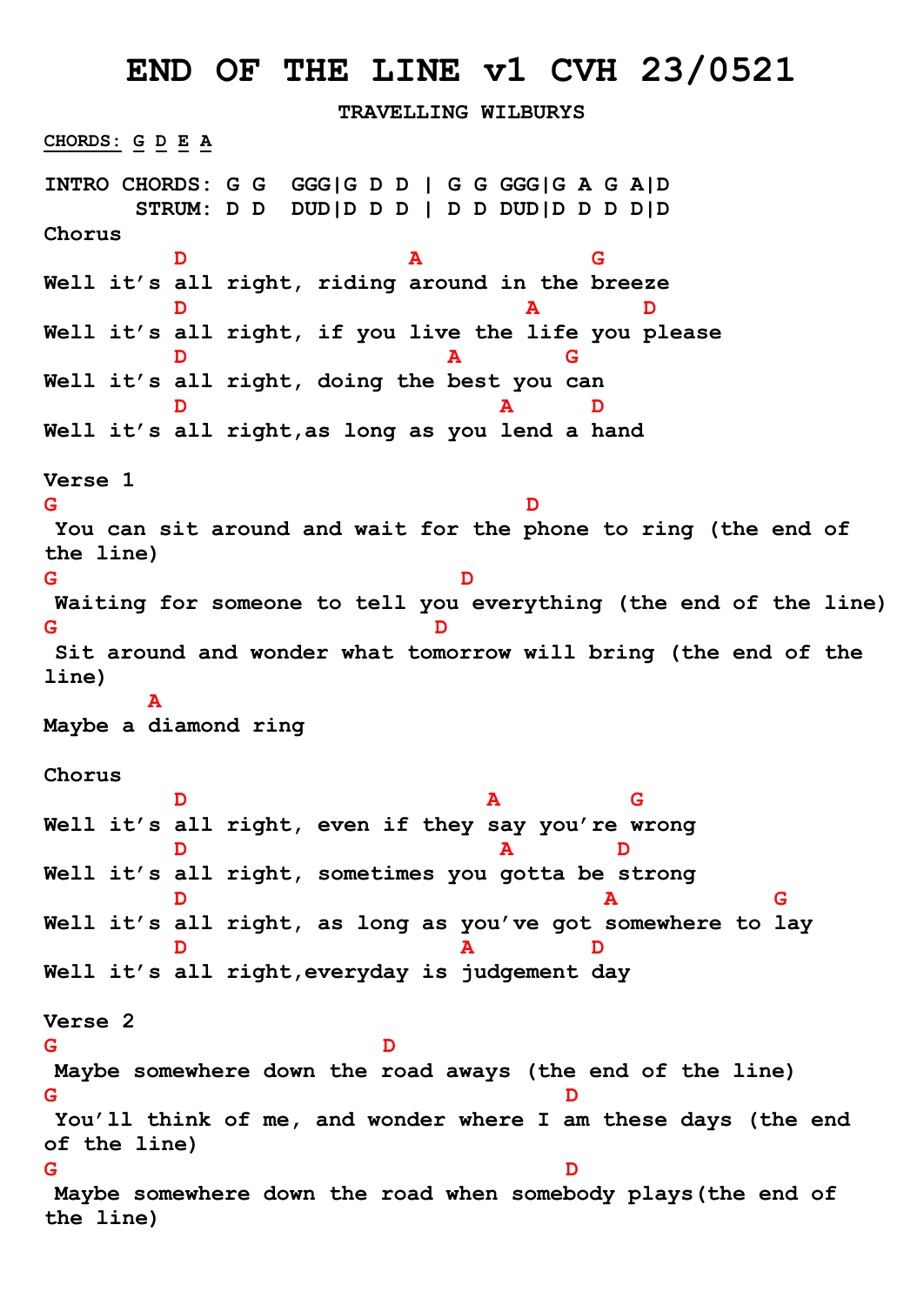## **END OF THE LINE v1 CVH 23/0521**

**TRAVELLING WILBURYS CHORDS: G D E A INTRO CHORDS: G G GGG|G D D | G G GGG|G A G A|D STRUM: D D DUD|D D D | D D DUD|D D D D|D Chorus D A G Well it's all right, riding around in the breeze D A D Well it's all right, if you live the life you please D A G Well it's all right, doing the best you can D A D Well it's all right,as long as you lend a hand Verse 1 G D You can sit around and wait for the phone to ring (the end of the line) G D Waiting for someone to tell you everything (the end of the line) G D Sit around and wonder what tomorrow will bring (the end of the line) A Maybe a diamond ring Chorus D A G Well it's all right, even if they say you're wrong D A D Well it's all right, sometimes you gotta be strong D A G Well it's all right, as long as you've got somewhere to lay D A D Well it's all right,everyday is judgement day Verse 2 G D Maybe somewhere down the road aways (the end of the line) G D You'll think of me, and wonder where I am these days (the end of the line) G D Maybe somewhere down the road when somebody plays(the end of the line)**